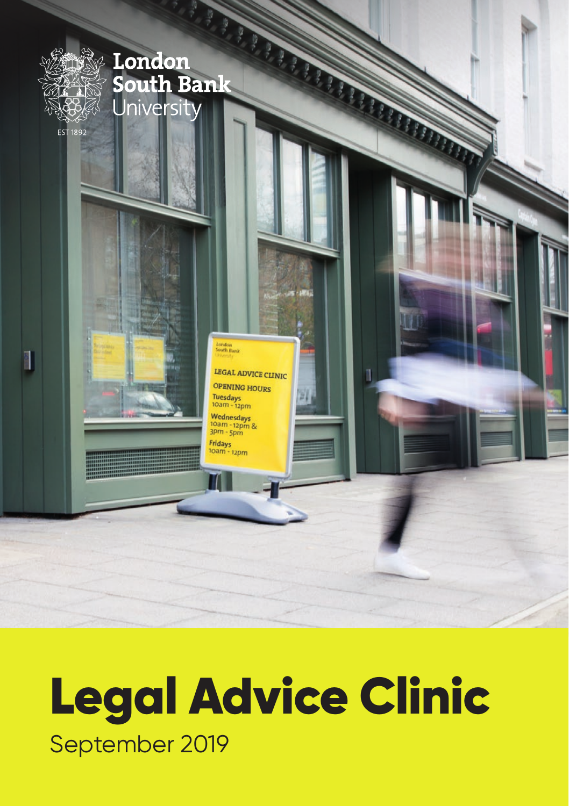

# Legal Advice Clinic September 2019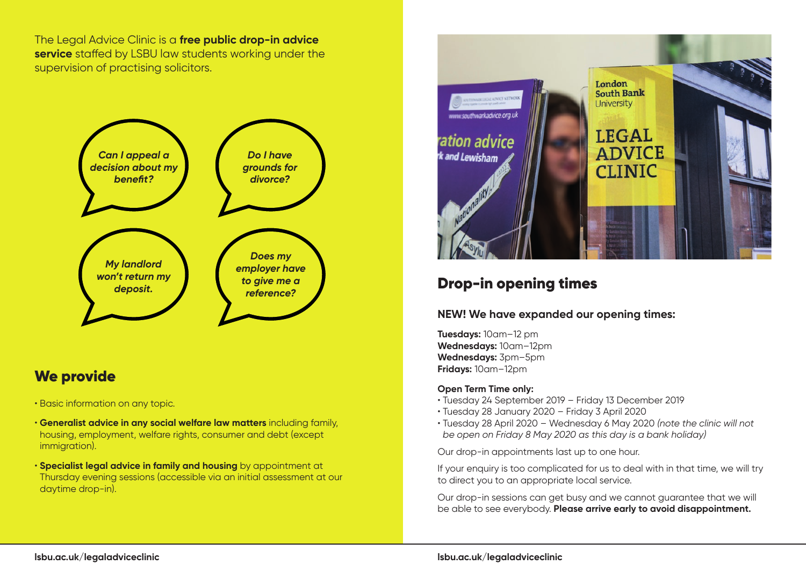The Legal Advice Clinic is a **free public drop-in advice service** staffed by LSBU law students working under the supervision of practising solicitors.



# We provide

- Basic information on any topic.
- **Generalist advice in any social welfare law matters** including family, housing, employment, welfare rights, consumer and debt (except immigration).
- **Specialist legal advice in family and housing** by appointment at Thursday evening sessions (accessible via an initial assessment at our daytime drop-in).



# Drop-in opening times

## **NEW! We have expanded our opening times:**

**Tuesdays:** 10am–12 pm **Wednesdays:** 10am–12pm **Wednesdays:** 3pm–5pm **Fridays:** 10am–12pm

## **Open Term Time only:**

- Tuesday 24 September 2019 Friday 13 December 2019
- Tuesday 28 January 2020 Friday 3 April 2020
- Tuesday 28 April 2020 Wednesday 6 May 2020 *(note the clinic will not be open on Friday 8 May 2020 as this day is a bank holiday)*

Our drop-in appointments last up to one hour.

If your enquiry is too complicated for us to deal with in that time, we will try to direct you to an appropriate local service.

Our drop-in sessions can get busy and we cannot guarantee that we will be able to see everybody. **Please arrive early to avoid disappointment.**

## **lsbu.ac.uk/legaladviceclinic**